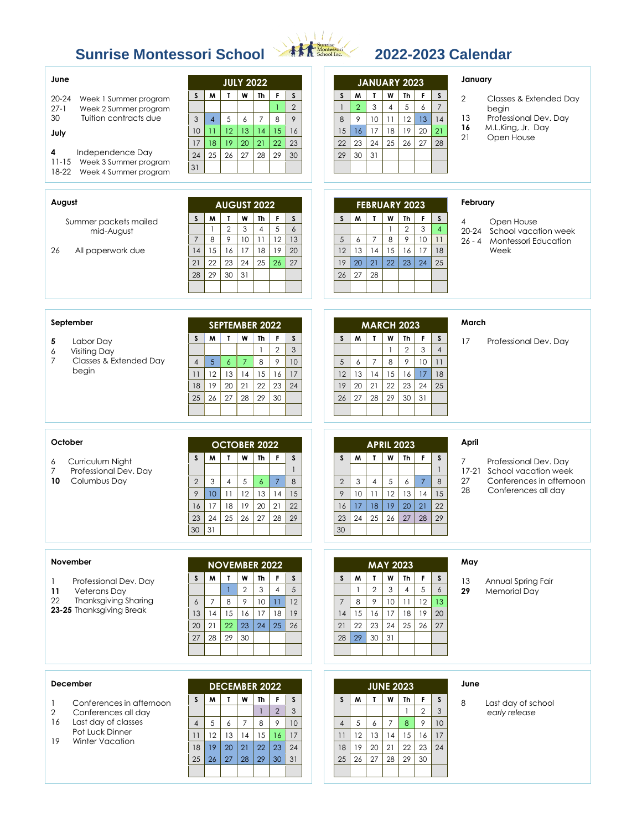# **Sunrise Montessori School 2022-2023 Calendar**



| June<br>$20 - 24$<br>Week 1 Summer program<br>$27 - 1$<br>Week 2 Summer program<br>30<br>Tuition contracts due<br>July<br>4<br>Independence Day<br>Week 3 Summer program<br>$11 - 15$<br>18-22<br>Week 4 Summer program<br>August<br>Summer packets mailed<br>mid-August<br>26<br>All paperwork due | <b>JULY 2022</b><br>W<br>F<br>M<br>L<br>Th<br>S<br>S<br>$\overline{2}$<br>$\mathbf{1}$<br>$\overline{7}$<br>8<br>9<br>3<br>$\overline{4}$<br>5<br>6<br>15<br>12 <sup>°</sup><br>13<br>14<br>10<br>16<br>$\overline{11}$<br>22<br>20<br>21<br>23<br>19<br>17<br>18<br>26<br>27<br>28<br>29<br>25<br>30<br>24<br>31<br><b>AUGUST 2022</b><br>W<br>$\mathsf F$<br>M<br>$\mathbf{I}$<br>Th<br>$\mathsf{s}$<br>S<br>$\overline{2}$<br>3<br>5<br>$\boldsymbol{6}$<br>$\overline{4}$<br>-1<br>9<br>12<br>8<br>$10\,$<br>$\overline{7}$<br>11<br>13<br>17<br>15<br>16<br>18<br>19<br>20<br>14 | <b>JANUARY 2023</b><br>W<br>S<br>M<br>$\mathbf{T}$<br><b>Th</b><br>S<br>F<br>$\overline{7}$<br>5<br>$\overline{2}$<br>3<br>$\mathbf{1}$<br>$\overline{4}$<br>6<br>9<br>8<br>10<br>12<br>14<br>11<br>13<br>16<br>17<br>18<br>19<br>20<br>21<br>15<br>23<br>22<br>24<br>25<br>27<br>28<br>26<br>31<br>29<br>30<br><b>FEBRUARY 2023</b><br>$\boldsymbol{\mathsf{w}}$<br>$\mathbf{T}$<br>M<br>Th<br>S<br>F<br>S<br>$\overline{2}$<br>3<br>$\overline{4}$<br>$\mathbf{1}$<br>8<br>9<br>10<br>5<br>$\overline{7}$<br>11<br>6<br>12<br>13<br>15<br>14<br>16<br>17<br>18 | January<br>$\overline{2}$<br>Classes & Extended Day<br>begin<br>Professional Dev. Day<br>13<br>16<br>M.L.King, Jr. Day<br>21<br>Open House<br>February<br>4<br>Open House<br>School vacation week<br>20-24<br>$26 - 4$<br>Montessori Education<br>Week |
|-----------------------------------------------------------------------------------------------------------------------------------------------------------------------------------------------------------------------------------------------------------------------------------------------------|---------------------------------------------------------------------------------------------------------------------------------------------------------------------------------------------------------------------------------------------------------------------------------------------------------------------------------------------------------------------------------------------------------------------------------------------------------------------------------------------------------------------------------------------------------------------------------------|------------------------------------------------------------------------------------------------------------------------------------------------------------------------------------------------------------------------------------------------------------------------------------------------------------------------------------------------------------------------------------------------------------------------------------------------------------------------------------------------------------------------------------------------------------------|--------------------------------------------------------------------------------------------------------------------------------------------------------------------------------------------------------------------------------------------------------|
| September                                                                                                                                                                                                                                                                                           | 23<br>24<br>22<br>25<br>26<br>27<br>21<br>31<br>29<br>30<br>28<br><b>SEPTEMBER 2022</b>                                                                                                                                                                                                                                                                                                                                                                                                                                                                                               | 22<br>25<br>19<br>20<br>21<br>23<br>24<br>26<br>27<br>28<br><b>MARCH 2023</b>                                                                                                                                                                                                                                                                                                                                                                                                                                                                                    | March                                                                                                                                                                                                                                                  |
| Labor Day<br>5<br><b>Visiting Day</b><br>6<br>$\overline{7}$<br>Classes & Extended Day<br>begin                                                                                                                                                                                                     | M<br>$\mathbf{T}$<br>W<br>Th<br>F.<br><sub>S</sub><br>S<br>$\sqrt{2}$<br>$\mathfrak{Z}$<br>$\mathbf{1}$<br>$\mathcal{P}$<br>$\overline{5}$<br>$\overline{7}$<br>8<br>10<br>$\overline{4}$<br>$\epsilon$<br>12<br>13<br>14<br>17<br>11<br>15<br>16<br>19<br>20<br>21<br>22<br>23<br>18<br>24<br>28<br>29<br>27<br>30<br>25<br>26                                                                                                                                                                                                                                                       | M<br>$\mathbf{I}$<br>W<br>S<br>Th<br>F.<br>S<br>$\sqrt{2}$<br>3<br>$\overline{4}$<br>$\mathbf{1}$<br>8<br>9<br>5<br>$\overline{7}$<br>10<br>6<br>11<br>15<br>17<br>18<br>12<br>13<br>14<br>16<br>19<br>20<br>21<br>22<br>23<br>24<br>25<br>26<br>27<br>29<br>28<br>30<br>31                                                                                                                                                                                                                                                                                      | 17<br>Professional Dev. Day                                                                                                                                                                                                                            |
| October<br>Curriculum Night<br>6<br>Professional Dev. Day<br>7<br>10<br>Columbus Day                                                                                                                                                                                                                | <b>OCTOBER 2022</b><br>T<br>W<br>M<br>Th<br>F<br>S<br>S<br>$\mathbf{1}$<br>$\overline{7}$<br>3<br>$\sqrt{5}$<br>8<br>$\overline{2}$<br>$\overline{4}$<br>$\epsilon$<br>12<br>$\mathcal{P}$<br>10<br>13<br>14<br>15<br>11<br>18<br>19<br>20<br>21<br>16<br>17<br>22<br>26<br>25<br>27<br>28<br>24<br>29<br>23<br>30<br>31                                                                                                                                                                                                                                                              | <b>APRIL 2023</b><br>W<br>M<br>$\mathbf{I}$<br>Th<br>F.<br>S<br>S<br>$\mathbf{1}$<br>5<br>8<br>$\overline{2}$<br>3<br>$\overline{4}$<br>$\boldsymbol{6}$<br>$\overline{7}$<br>9<br>10<br>12<br>13<br>14<br>15<br>11<br>17<br>18<br>19<br>20<br>21<br>22<br>16<br>24<br>25<br>26<br>29<br>23<br>27<br>28<br>30                                                                                                                                                                                                                                                    | April<br>7<br>Professional Dev. Day<br>17-21 School vacation week<br>27<br>Conferences in afternoon<br>28<br>Conferences all day                                                                                                                       |
| November<br>Professional Dev. Day<br>$\mathbf{1}$<br>11<br><b>Veterans Day</b><br>22<br><b>Thanksgiving Sharing</b><br>23-25 Thanksgiving Break                                                                                                                                                     | <b>NOVEMBER 2022</b><br>M<br>$\mathbf{r}$<br>W<br><sub>S</sub><br>Th<br>F<br>S<br>$\overline{2}$<br>3<br>5<br>$\overline{4}$<br>9<br>10<br>$\overline{7}$<br>8<br>11<br>12<br>$\boldsymbol{6}$<br>15<br>16<br>17<br>18<br>19<br>13<br>14<br>23<br>24<br>25<br>26<br>21<br>22<br>20<br>29<br>30<br>27<br>28                                                                                                                                                                                                                                                                            | <b>MAY 2023</b><br>W<br>$\mathsf{s}$<br>M<br>$\mathbf{L}$<br>Th<br>F.<br>S<br>$\overline{2}$<br>3<br>5<br>$\epsilon$<br>4<br>$\overline{7}$<br>8<br>10<br>12<br>9<br>11<br>13<br>15<br>18<br>19<br>20<br>14<br>16<br>17<br>22<br>23<br>24<br>25<br>26<br>27<br>21<br>29<br>30<br>31<br>28                                                                                                                                                                                                                                                                        | May<br>13<br>Annual Spring Fair<br>29<br><b>Memorial Day</b>                                                                                                                                                                                           |
| December<br>Conferences in afternoon<br>1<br>$\overline{2}$<br>Conferences all day<br>16<br>Last day of classes<br>Pot Luck Dinner<br>19<br><b>Winter Vacation</b>                                                                                                                                  | <b>DECEMBER 2022</b><br>W<br>$\mathbf{I}$<br>Th<br>$\mathbf{F}$<br>$\mathsf{s}$<br>S<br>M<br>$\overline{2}$<br>$\mathfrak{S}$<br>$\mathbf{1}$<br>8<br>9<br>10<br>$\overline{4}$<br>5<br>$\overline{7}$<br>6<br>13<br>15<br>16<br>12<br>14<br>17<br>11<br>21<br>22<br>23<br>24<br>19<br>20<br>18<br>27<br>28<br>29<br>30<br>31<br>25<br>26                                                                                                                                                                                                                                             | <b>JUNE 2023</b><br>W<br>$\mathbf{T}$<br>Th<br>F.<br>S<br>M<br>S<br>$\mathbf{3}$<br>$\overline{2}$<br>$\mathbf{1}$<br>$\overline{7}$<br>$\bf 8$<br>9<br>10 <sup>°</sup><br>5<br>$\overline{4}$<br>6<br>12<br>14<br>17<br>11<br>13<br>15<br>16<br>19<br>20<br>21<br>22<br>23<br>24<br>18<br>25<br>26<br>27<br>28<br>29<br>30                                                                                                                                                                                                                                      | June<br>8<br>Last day of school<br>early release                                                                                                                                                                                                       |